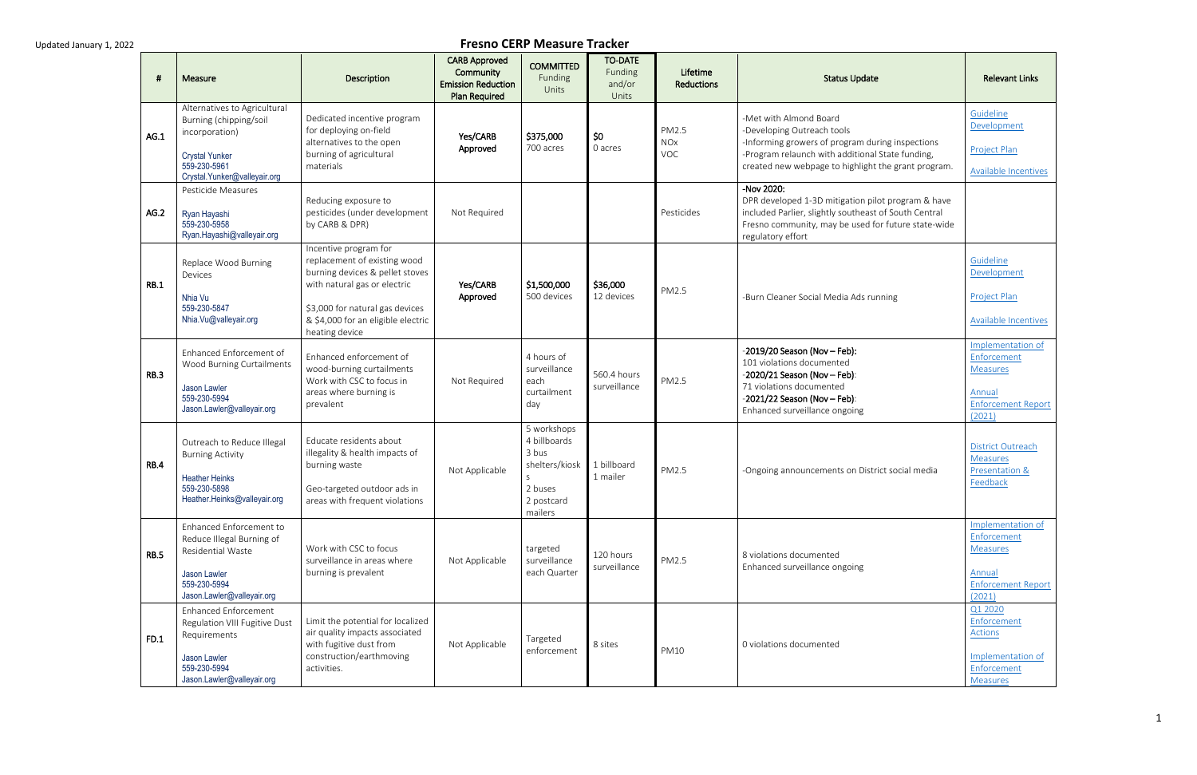#### **Fresno CERP Measure Tracker**

| -#          | Measure                                                                                                                                           | Description                                                                                                                                                                                                         | <b>CARB Approved</b><br>Community<br><b>Emission Reduction</b><br><b>Plan Required</b> | <b>COMMITTED</b><br>Funding<br>Units                                                            | <b>TO-DATE</b><br>Funding<br>and/or<br>Units | Lifetime<br><b>Reductions</b>     | <b>Status Update</b>                                                                                                                                                                                                | <b>Relevant Links</b>                                                                                |
|-------------|---------------------------------------------------------------------------------------------------------------------------------------------------|---------------------------------------------------------------------------------------------------------------------------------------------------------------------------------------------------------------------|----------------------------------------------------------------------------------------|-------------------------------------------------------------------------------------------------|----------------------------------------------|-----------------------------------|---------------------------------------------------------------------------------------------------------------------------------------------------------------------------------------------------------------------|------------------------------------------------------------------------------------------------------|
| AG.1        | Alternatives to Agricultural<br>Burning (chipping/soil<br>incorporation)<br><b>Crystal Yunker</b><br>559-230-5961<br>Crystal.Yunker@valleyair.org | Dedicated incentive program<br>for deploying on-field<br>alternatives to the open<br>burning of agricultural<br>materials                                                                                           | Yes/CARB<br>Approved                                                                   | \$375,000<br>700 acres                                                                          | \$0<br>0 acres                               | PM2.5<br><b>NOx</b><br><b>VOC</b> | -Met with Almond Board<br>-Developing Outreach tools<br>-Informing growers of program during inspections<br>-Program relaunch with additional State funding,<br>created new webpage to highlight the grant program. | Guideline<br>Development<br>Project Plan<br><b>Available Incentives</b>                              |
| AG.2        | Pesticide Measures<br>Ryan Hayashi<br>559-230-5958<br>Ryan.Hayashi@valleyair.org                                                                  | Reducing exposure to<br>pesticides (under development<br>by CARB & DPR)                                                                                                                                             | Not Required                                                                           |                                                                                                 |                                              | Pesticides                        | -Nov 2020:<br>DPR developed 1-3D mitigation pilot program & have<br>included Parlier, slightly southeast of South Central<br>Fresno community, may be used for future state-wide<br>regulatory effort               |                                                                                                      |
| <b>RB.1</b> | Replace Wood Burning<br>Devices<br>Nhia Vu<br>559-230-5847<br>Nhia.Vu@valleyair.org                                                               | Incentive program for<br>replacement of existing wood<br>burning devices & pellet stoves<br>with natural gas or electric<br>\$3,000 for natural gas devices<br>& \$4,000 for an eligible electric<br>heating device | Yes/CARB<br>Approved                                                                   | \$1,500,000<br>500 devices                                                                      | \$36,000<br>12 devices                       | PM2.5                             | -Burn Cleaner Social Media Ads running                                                                                                                                                                              | Guideline<br>Development<br><b>Project Plan</b><br>Available Incentives                              |
| <b>RB.3</b> | Enhanced Enforcement of<br>Wood Burning Curtailments<br>Jason Lawler<br>559-230-5994<br>Jason.Lawler@valleyair.org                                | Enhanced enforcement of<br>wood-burning curtailments<br>Work with CSC to focus in<br>areas where burning is<br>prevalent                                                                                            | Not Required                                                                           | 4 hours of<br>surveillance<br>each<br>curtailment<br>day                                        | 560.4 hours<br>surveillance                  | PM2.5                             | -2019/20 Season (Nov - Feb):<br>101 violations documented<br>$-2020/21$ Season (Nov - Feb):<br>71 violations documented<br>$-2021/22$ Season (Nov - Feb):<br>Enhanced surveillance ongoing                          | Implementation of<br>Enforcement<br><b>Measures</b><br>Annual<br><b>Enforcement Report</b><br>(2021) |
| <b>RB.4</b> | Outreach to Reduce Illegal<br><b>Burning Activity</b><br><b>Heather Heinks</b><br>559-230-5898<br>Heather.Heinks@valleyair.org                    | Educate residents about<br>illegality & health impacts of<br>burning waste<br>Geo-targeted outdoor ads in<br>areas with frequent violations                                                                         | Not Applicable                                                                         | 5 workshops<br>4 billboards<br>3 bus<br>shelters/kiosk<br>S<br>2 buses<br>2 postcard<br>mailers | 1 billboard<br>1 mailer                      | PM2.5                             | -Ongoing announcements on District social media                                                                                                                                                                     | <b>District Outreach</b><br><b>Measures</b><br>Presentation &<br>Feedback                            |
| <b>RB.5</b> | Enhanced Enforcement to<br>Reduce Illegal Burning of<br>Residential Waste<br>Jason Lawler<br>559-230-5994<br>Jason.Lawler@valleyair.org           | Work with CSC to focus<br>surveillance in areas where<br>burning is prevalent                                                                                                                                       | Not Applicable                                                                         | targeted<br>surveillance<br>each Quarter                                                        | 120 hours<br>surveillance                    | PM2.5                             | 8 violations documented<br>Enhanced surveillance ongoing                                                                                                                                                            | Implementation of<br>Enforcement<br><b>Measures</b><br>Annual<br><b>Enforcement Report</b><br>(2021) |
| FD.1        | <b>Enhanced Enforcement</b><br>Regulation VIII Fugitive Dust<br>Requirements<br>Jason Lawler<br>559-230-5994<br>Jason.Lawler@valleyair.org        | Limit the potential for localized<br>air quality impacts associated<br>with fugitive dust from<br>construction/earthmoving<br>activities.                                                                           | Not Applicable                                                                         | Targeted<br>enforcement                                                                         | 8 sites                                      | <b>PM10</b>                       | 0 violations documented                                                                                                                                                                                             | Q1 2020<br>Enforcement<br><b>Actions</b><br>Implementation of<br>Enforcement<br>Measures             |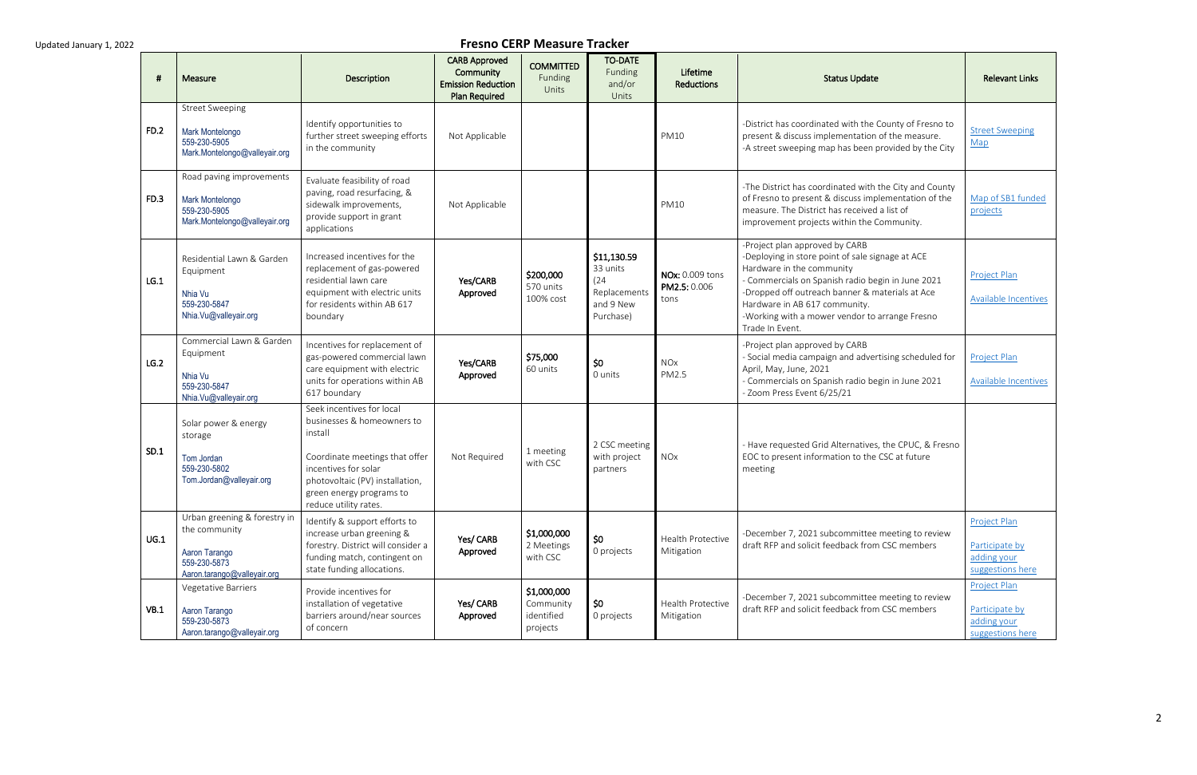| #           | Measure                                                                                                       | Description                                                                                                                                                                                                          | <b>CARB Approved</b><br>Community<br><b>Emission Reduction</b><br><b>Plan Required</b> | <b>COMMITTED</b><br>Funding<br>Units               | <b>TO-DATE</b><br>Funding<br>and/or<br>Units                              | Lifetime<br>Reductions                  | <b>Status Update</b>                                                                                                                                                                                                                                                                                                          | <b>Relevant Links</b>                                             |
|-------------|---------------------------------------------------------------------------------------------------------------|----------------------------------------------------------------------------------------------------------------------------------------------------------------------------------------------------------------------|----------------------------------------------------------------------------------------|----------------------------------------------------|---------------------------------------------------------------------------|-----------------------------------------|-------------------------------------------------------------------------------------------------------------------------------------------------------------------------------------------------------------------------------------------------------------------------------------------------------------------------------|-------------------------------------------------------------------|
| <b>FD.2</b> | <b>Street Sweeping</b><br>Mark Montelongo<br>559-230-5905<br>Mark.Montelongo@valleyair.org                    | Identify opportunities to<br>further street sweeping efforts<br>in the community                                                                                                                                     | Not Applicable                                                                         |                                                    |                                                                           | <b>PM10</b>                             | -District has coordinated with the County of Fresno to<br>present & discuss implementation of the measure.<br>-A street sweeping map has been provided by the City                                                                                                                                                            | <b>Street Sweeping</b><br>Map                                     |
| <b>FD.3</b> | Road paving improvements<br>Mark Montelongo<br>559-230-5905<br>Mark.Montelongo@valleyair.org                  | Evaluate feasibility of road<br>paving, road resurfacing, &<br>sidewalk improvements,<br>provide support in grant<br>applications                                                                                    | Not Applicable                                                                         |                                                    |                                                                           | <b>PM10</b>                             | -The District has coordinated with the City and County<br>of Fresno to present & discuss implementation of the<br>measure. The District has received a list of<br>improvement projects within the Community.                                                                                                                  | Map of SB1 funded<br>projects                                     |
| LG.1        | Residential Lawn & Garden<br>Equipment<br>Nhia Vu<br>559-230-5847<br>Nhia.Vu@valleyair.org                    | Increased incentives for the<br>replacement of gas-powered<br>residential lawn care<br>equipment with electric units<br>for residents within AB 617<br>boundary                                                      | Yes/CARB<br>Approved                                                                   | \$200,000<br>570 units<br>100% cost                | \$11,130.59<br>33 units<br>(24)<br>Replacements<br>and 9 New<br>Purchase) | NOx: 0.009 tons<br>PM2.5: 0.006<br>tons | -Project plan approved by CARB<br>-Deploying in store point of sale signage at ACE<br>Hardware in the community<br>- Commercials on Spanish radio begin in June 2021<br>-Dropped off outreach banner & materials at Ace<br>Hardware in AB 617 community.<br>-Working with a mower vendor to arrange Fresno<br>Trade In Event. | Project Plan<br><b>Available Incentives</b>                       |
| LG.2        | Commercial Lawn & Garden<br>Equipment<br>Nhia Vu<br>559-230-5847<br>Nhia.Vu@valleyair.org                     | Incentives for replacement of<br>gas-powered commercial lawn<br>care equipment with electric<br>units for operations within AB<br>617 boundary                                                                       | Yes/CARB<br>Approved                                                                   | \$75,000<br>60 units                               | \$0<br>0 units                                                            | <b>NO<sub>x</sub></b><br>PM2.5          | -Project plan approved by CARB<br>- Social media campaign and advertising scheduled for<br>April, May, June, 2021<br>- Commercials on Spanish radio begin in June 2021<br>- Zoom Press Event 6/25/21                                                                                                                          | Project Plan<br><b>Available Incentives</b>                       |
| SD.1        | Solar power & energy<br>storage<br>Tom Jordan<br>559-230-5802<br>Tom.Jordan@valleyair.org                     | Seek incentives for local<br>businesses & homeowners to<br>install<br>Coordinate meetings that offer<br>incentives for solar<br>photovoltaic (PV) installation,<br>green energy programs to<br>reduce utility rates. | Not Required                                                                           | 1 meeting<br>with CSC                              | 2 CSC meeting<br>with project<br>partners                                 | <b>NOx</b>                              | - Have requested Grid Alternatives, the CPUC, & Fresno<br>EOC to present information to the CSC at future<br>meeting                                                                                                                                                                                                          |                                                                   |
| UG.1        | Urban greening & forestry in<br>the community<br>Aaron Tarango<br>559-230-5873<br>Aaron.tarango@valleyair.org | Identify & support efforts to<br>increase urban greening &<br>forestry. District will consider a<br>funding match, contingent on<br>state funding allocations.                                                       | Yes/ CARB<br>Approved                                                                  | \$1,000,000<br>2 Meetings<br>with CSC              | \$0<br>0 projects                                                         | <b>Health Protective</b><br>Mitigation  | -December 7, 2021 subcommittee meeting to review<br>draft RFP and solicit feedback from CSC members                                                                                                                                                                                                                           | Project Plan<br>Participate by<br>adding your<br>suggestions here |
| VB.1        | Vegetative Barriers<br>Aaron Tarango<br>559-230-5873<br>Aaron.tarango@valleyair.org                           | Provide incentives for<br>installation of vegetative<br>barriers around/near sources<br>of concern                                                                                                                   | Yes/ CARB<br>Approved                                                                  | \$1,000,000<br>Community<br>identified<br>projects | \$0<br>0 projects                                                         | Health Protective<br>Mitigation         | -December 7, 2021 subcommittee meeting to review<br>draft RFP and solicit feedback from CSC members                                                                                                                                                                                                                           | Project Plan<br>Participate by<br>adding your<br>suggestions here |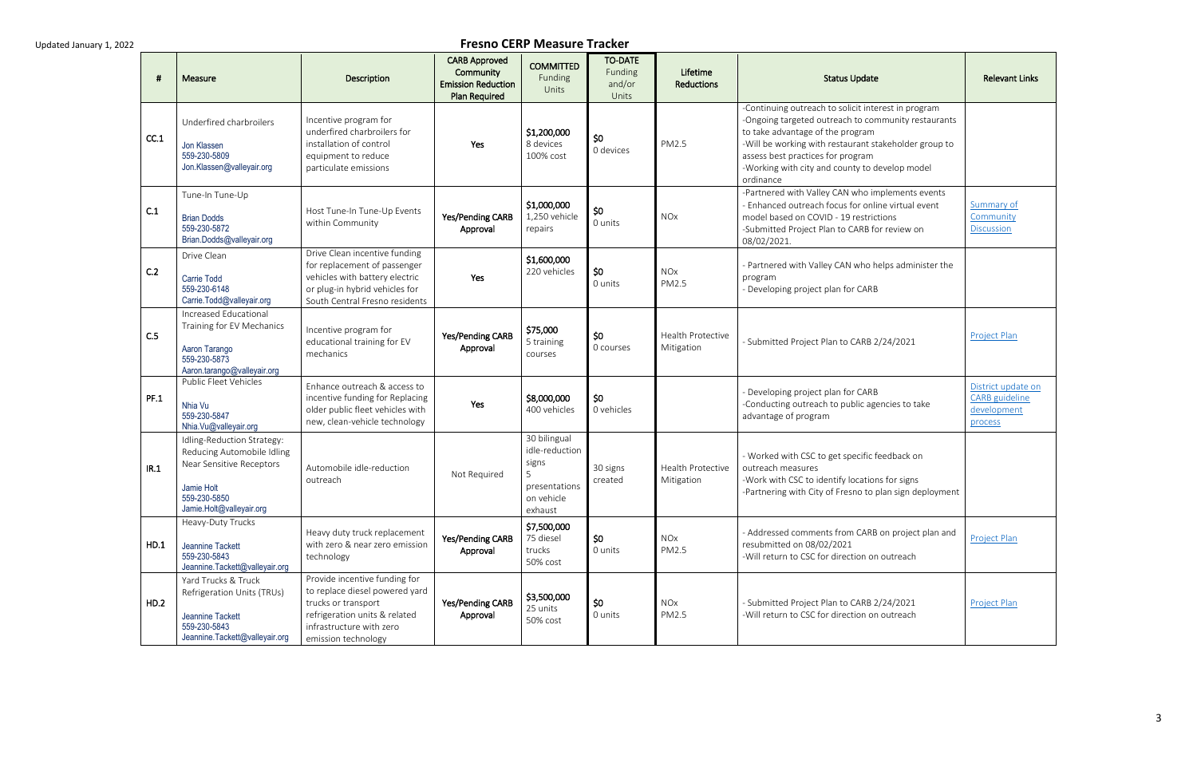| -#   | Measure                                                                                                                                        | Description                                                                                                                                                                | <b>CARB Approved</b><br>Community<br><b>Emission Reduction</b><br><b>Plan Required</b> | <b>COMMITTED</b><br>Funding<br>Units                                              | <b>TO-DATE</b><br>Funding<br>and/or<br>Units | Lifetime<br><b>Reductions</b>          | <b>Status Update</b>                                                                                                                                                                                                                                                                                        | <b>Relevant Links</b>                                                 |
|------|------------------------------------------------------------------------------------------------------------------------------------------------|----------------------------------------------------------------------------------------------------------------------------------------------------------------------------|----------------------------------------------------------------------------------------|-----------------------------------------------------------------------------------|----------------------------------------------|----------------------------------------|-------------------------------------------------------------------------------------------------------------------------------------------------------------------------------------------------------------------------------------------------------------------------------------------------------------|-----------------------------------------------------------------------|
| CC.1 | Underfired charbroilers<br>Jon Klassen<br>559-230-5809<br>Jon.Klassen@valleyair.org                                                            | Incentive program for<br>underfired charbroilers for<br>installation of control<br>equipment to reduce<br>particulate emissions                                            | Yes                                                                                    | \$1,200,000<br>8 devices<br>100% cost                                             | \$0<br>0 devices                             | <b>PM2.5</b>                           | -Continuing outreach to solicit interest in program<br>-Ongoing targeted outreach to community restaurants<br>to take advantage of the program<br>-Will be working with restaurant stakeholder group to<br>assess best practices for program<br>-Working with city and county to develop model<br>ordinance |                                                                       |
| C.1  | Tune-In Tune-Up<br><b>Brian Dodds</b><br>559-230-5872<br>Brian.Dodds@valleyair.org                                                             | Host Tune-In Tune-Up Events<br>within Community                                                                                                                            | Yes/Pending CARB<br>Approval                                                           | \$1,000,000<br>1,250 vehicle<br>repairs                                           | \$0<br>0 units                               | <b>NOx</b>                             | -Partnered with Valley CAN who implements events<br>- Enhanced outreach focus for online virtual event<br>model based on COVID - 19 restrictions<br>-Submitted Project Plan to CARB for review on<br>08/02/2021.                                                                                            | Summary of<br>Community<br><b>Discussion</b>                          |
| C.2  | Drive Clean<br><b>Carrie Todd</b><br>559-230-6148<br>Carrie.Todd@valleyair.org                                                                 | Drive Clean incentive funding<br>for replacement of passenger<br>vehicles with battery electric<br>or plug-in hybrid vehicles for<br>South Central Fresno residents        | Yes                                                                                    | \$1,600,000<br>220 vehicles                                                       | \$0<br>0 units                               | <b>NOx</b><br>PM2.5                    | - Partnered with Valley CAN who helps administer the<br>program<br>- Developing project plan for CARB                                                                                                                                                                                                       |                                                                       |
| C.5  | Increased Educational<br>Training for EV Mechanics<br>Aaron Tarango<br>559-230-5873<br>Aaron.tarango@valleyair.org                             | Incentive program for<br>educational training for EV<br>mechanics                                                                                                          | Yes/Pending CARB<br>Approval                                                           | \$75,000<br>5 training<br>courses                                                 | \$0<br>0 courses                             | <b>Health Protective</b><br>Mitigation | - Submitted Project Plan to CARB 2/24/2021                                                                                                                                                                                                                                                                  | <b>Project Plan</b>                                                   |
| PF.1 | Public Fleet Vehicles<br>Nhia Vu<br>559-230-5847<br>Nhia.Vu@valleyair.org                                                                      | Enhance outreach & access to<br>incentive funding for Replacing<br>older public fleet vehicles with<br>new, clean-vehicle technology                                       | Yes                                                                                    | \$8,000,000<br>400 vehicles                                                       | \$0<br>0 vehicles                            |                                        | - Developing project plan for CARB<br>-Conducting outreach to public agencies to take<br>advantage of program                                                                                                                                                                                               | District update on<br><b>CARB</b> guideline<br>development<br>process |
| IR.1 | Idling-Reduction Strategy:<br>Reducing Automobile Idling<br>Near Sensitive Receptors<br>Jamie Holt<br>559-230-5850<br>Jamie.Holt@valleyair.org | Automobile idle-reduction<br>outreach                                                                                                                                      | Not Required                                                                           | 30 bilingual<br>idle-reduction<br>signs<br>presentations<br>on vehicle<br>exhaust | 30 signs<br>created                          | <b>Health Protective</b><br>Mitigation | - Worked with CSC to get specific feedback on<br>outreach measures<br>-Work with CSC to identify locations for signs<br>-Partnering with City of Fresno to plan sign deployment                                                                                                                             |                                                                       |
| HD.1 | Heavy-Duty Trucks<br>Jeannine Tackett<br>559-230-5843<br>Jeannine.Tackett@valleyair.org                                                        | Heavy duty truck replacement<br>with zero & near zero emission<br>technology                                                                                               | Yes/Pending CARB<br>Approval                                                           | \$7,500,000<br>75 diesel<br>trucks<br>50% cost                                    | \$0<br>0 units                               | NOx<br>PM2.5                           | - Addressed comments from CARB on project plan and<br>resubmitted on 08/02/2021<br>-Will return to CSC for direction on outreach                                                                                                                                                                            | Project Plan                                                          |
| HD.2 | Yard Trucks & Truck<br>Refrigeration Units (TRUs)<br>Jeannine Tackett<br>559-230-5843<br>Jeannine.Tackett@valleyair.org                        | Provide incentive funding for<br>to replace diesel powered yard<br>trucks or transport<br>refrigeration units & related<br>infrastructure with zero<br>emission technology | Yes/Pending CARB<br>Approval                                                           | \$3,500,000<br>25 units<br>50% cost                                               | \$0<br>0 units                               | <b>NOx</b><br>PM2.5                    | - Submitted Project Plan to CARB 2/24/2021<br>-Will return to CSC for direction on outreach                                                                                                                                                                                                                 | <b>Project Plan</b>                                                   |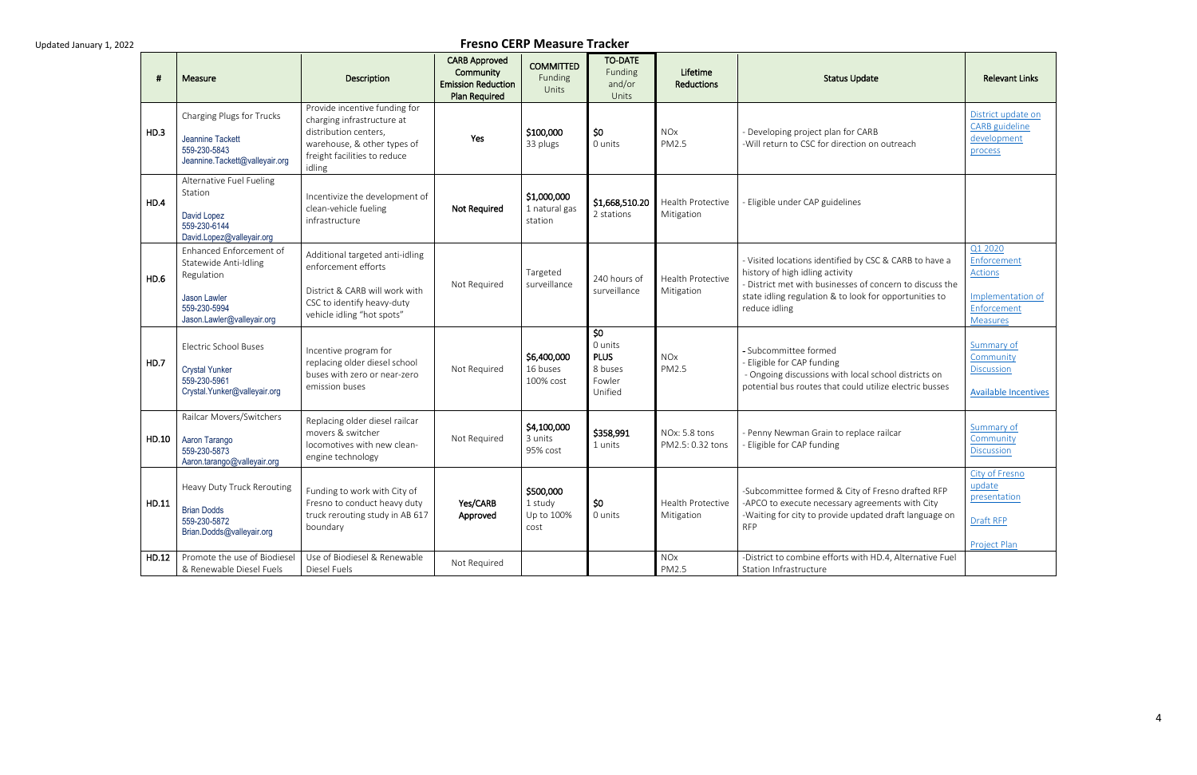|       | Measure                                                                                                                      | Description                                                                                                                                                   | <b>CARB Approved</b><br>Community<br><b>Emission Reduction</b><br><b>Plan Required</b> | <b>COMMITTED</b><br>Funding<br>Units       | <b>TO-DATE</b><br>Funding<br>and/or<br>Units                  | Lifetime<br><b>Reductions</b>     | <b>Status Update</b>                                                                                                                                                                                                             | <b>Relevant Links</b>                                                                    |
|-------|------------------------------------------------------------------------------------------------------------------------------|---------------------------------------------------------------------------------------------------------------------------------------------------------------|----------------------------------------------------------------------------------------|--------------------------------------------|---------------------------------------------------------------|-----------------------------------|----------------------------------------------------------------------------------------------------------------------------------------------------------------------------------------------------------------------------------|------------------------------------------------------------------------------------------|
| HD.3  | Charging Plugs for Trucks<br>Jeannine Tackett<br>559-230-5843<br>Jeannine.Tackett@valleyair.org                              | Provide incentive funding for<br>charging infrastructure at<br>distribution centers,<br>warehouse, & other types of<br>freight facilities to reduce<br>idling | Yes                                                                                    | \$100,000<br>33 plugs                      | \$0<br>0 units                                                | <b>NOx</b><br>PM2.5               | - Developing project plan for CARB<br>-Will return to CSC for direction on outreach                                                                                                                                              | District update on<br><b>CARB</b> guideline<br>development<br>process                    |
| HD.4  | Alternative Fuel Fueling<br>Station<br>David Lopez<br>559-230-6144<br>David.Lopez@valleyair.org                              | Incentivize the development of<br>clean-vehicle fueling<br>infrastructure                                                                                     | <b>Not Required</b>                                                                    | \$1,000,000<br>1 natural gas<br>station    | \$1,668,510.20<br>2 stations                                  | Health Protective<br>Mitigation   | - Eligible under CAP guidelines                                                                                                                                                                                                  |                                                                                          |
| HD.6  | Enhanced Enforcement of<br>Statewide Anti-Idling<br>Regulation<br>Jason Lawler<br>559-230-5994<br>Jason.Lawler@valleyair.org | Additional targeted anti-idling<br>enforcement efforts<br>District & CARB will work with<br>CSC to identify heavy-duty<br>vehicle idling "hot spots"          | Not Required                                                                           | Targeted<br>surveillance                   | 240 hours of<br>surveillance                                  | Health Protective<br>Mitigation   | - Visited locations identified by CSC & CARB to have a<br>history of high idling activity<br>- District met with businesses of concern to discuss the<br>state idling regulation & to look for opportunities to<br>reduce idling | Q1 2020<br>Enforcement<br>Actions<br>Implementation of<br>Enforcement<br><b>Measures</b> |
| HD.7  | <b>Electric School Buses</b><br><b>Crystal Yunker</b><br>559-230-5961<br>Crystal.Yunker@valleyair.org                        | Incentive program for<br>replacing older diesel school<br>buses with zero or near-zero<br>emission buses                                                      | Not Required                                                                           | \$6,400,000<br>16 buses<br>100% cost       | \$0<br>0 units<br><b>PLUS</b><br>8 buses<br>Fowler<br>Unified | <b>NOx</b><br>PM2.5               | - Subcommittee formed<br>- Eligible for CAP funding<br>- Ongoing discussions with local school districts on<br>potential bus routes that could utilize electric busses                                                           | Summary of<br>Community<br><b>Discussion</b><br><b>Available Incentives</b>              |
| HD.10 | Railcar Movers/Switchers<br>Aaron Tarango<br>559-230-5873<br>Aaron.tarango@valleyair.org                                     | Replacing older diesel railcar<br>movers & switcher<br>locomotives with new clean-<br>engine technology                                                       | Not Required                                                                           | \$4,100,000<br>3 units<br>95% cost         | \$358,991<br>1 units                                          | NOx: 5.8 tons<br>PM2.5: 0.32 tons | - Penny Newman Grain to replace railcar<br>- Eligible for CAP funding                                                                                                                                                            | Summary of<br>Community<br><b>Discussion</b>                                             |
| HD.11 | Heavy Duty Truck Rerouting<br><b>Brian Dodds</b><br>559-230-5872<br>Brian.Dodds@valleyair.org                                | Funding to work with City of<br>Fresno to conduct heavy duty<br>truck rerouting study in AB 617<br>boundary                                                   | Yes/CARB<br>Approved                                                                   | \$500,000<br>1 study<br>Up to 100%<br>cost | \$0<br>0 units                                                | Health Protective<br>Mitigation   | -Subcommittee formed & City of Fresno drafted RFP<br>-APCO to execute necessary agreements with City<br>-Waiting for city to provide updated draft language on<br><b>RFP</b>                                                     | City of Fresno<br>update<br>presentation<br>Draft RFP<br><b>Project Plan</b>             |
| HD.12 | Promote the use of Biodiesel<br>& Renewable Diesel Fuels                                                                     | Use of Biodiesel & Renewable<br>Diesel Fuels                                                                                                                  | Not Required                                                                           |                                            |                                                               | <b>NOx</b><br>PM2.5               | -District to combine efforts with HD.4, Alternative Fuel<br>Station Infrastructure                                                                                                                                               |                                                                                          |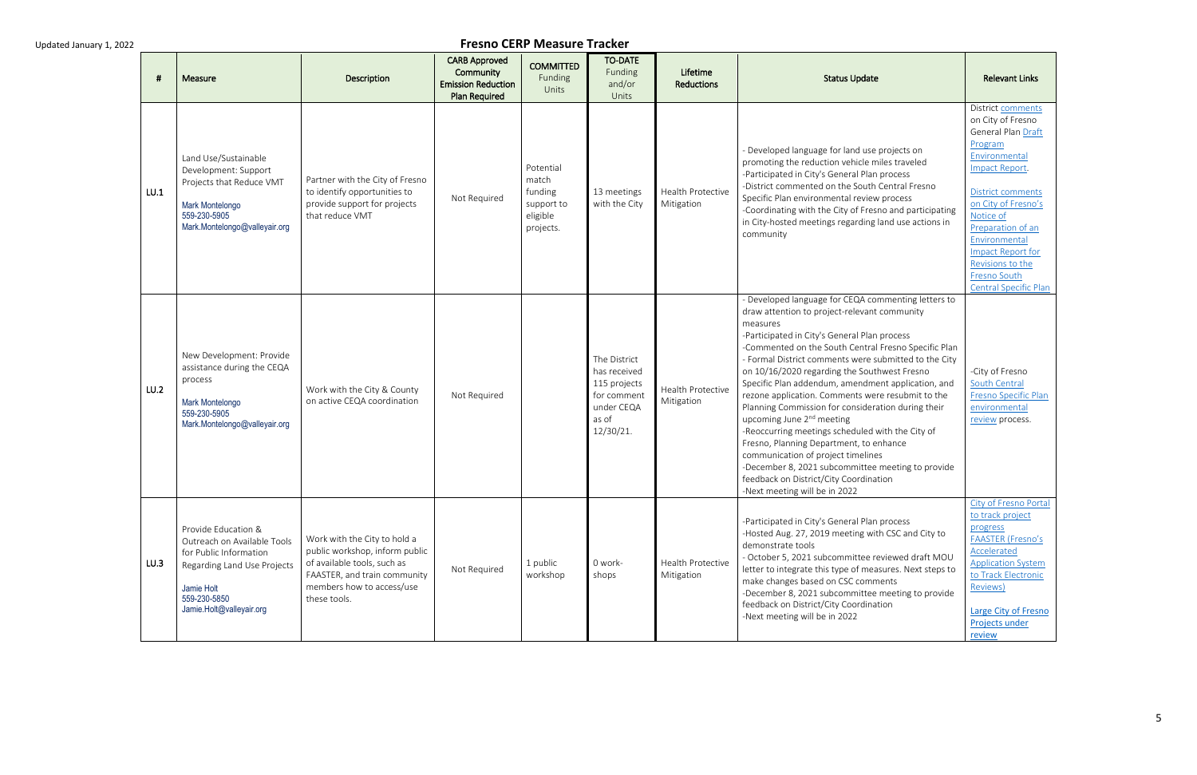| -#   | Measure                                                                                                                                                               | Description                                                                                                                                                                | <b>CARB Approved</b><br>Community<br><b>Emission Reduction</b><br>Plan Required | <b>COMMITTED</b><br>Funding<br>Units                                 | <b>TO-DATE</b><br>Funding<br>and/or<br>Units                                                    | Lifetime<br><b>Reductions</b>          | <b>Status Update</b>                                                                                                                                                                                                                                                                                                                                                                                                                                                                                                                                                                                                                                                                                                                                                                                            | <b>Relevant Links</b>                                                                                                                                                                                                                                                                                            |
|------|-----------------------------------------------------------------------------------------------------------------------------------------------------------------------|----------------------------------------------------------------------------------------------------------------------------------------------------------------------------|---------------------------------------------------------------------------------|----------------------------------------------------------------------|-------------------------------------------------------------------------------------------------|----------------------------------------|-----------------------------------------------------------------------------------------------------------------------------------------------------------------------------------------------------------------------------------------------------------------------------------------------------------------------------------------------------------------------------------------------------------------------------------------------------------------------------------------------------------------------------------------------------------------------------------------------------------------------------------------------------------------------------------------------------------------------------------------------------------------------------------------------------------------|------------------------------------------------------------------------------------------------------------------------------------------------------------------------------------------------------------------------------------------------------------------------------------------------------------------|
| LU.1 | Land Use/Sustainable<br>Development: Support<br>Projects that Reduce VMT<br>Mark Montelongo<br>559-230-5905<br>Mark.Montelongo@valleyair.org                          | Partner with the City of Fresno<br>to identify opportunities to<br>provide support for projects<br>that reduce VMT                                                         | Not Required                                                                    | Potential<br>match<br>funding<br>support to<br>eligible<br>projects. | 13 meetings<br>with the City                                                                    | Health Protective<br>Mitigation        | - Developed language for land use projects on<br>promoting the reduction vehicle miles traveled<br>-Participated in City's General Plan process<br>-District commented on the South Central Fresno<br>Specific Plan environmental review process<br>-Coordinating with the City of Fresno and participating<br>in City-hosted meetings regarding land use actions in<br>community                                                                                                                                                                                                                                                                                                                                                                                                                               | District comments<br>on City of Fresno<br>General Plan Draft<br>Program<br>Environmental<br>Impact Report.<br><b>District comments</b><br>on City of Fresno's<br>Notice of<br>Preparation of an<br>Environmental<br><b>Impact Report for</b><br>Revisions to the<br>Fresno South<br><b>Central Specific Plan</b> |
| LU.2 | New Development: Provide<br>assistance during the CEQA<br>process<br>Mark Montelongo<br>559-230-5905<br>Mark.Montelongo@valleyair.org                                 | Work with the City & County<br>on active CEQA coordination                                                                                                                 | Not Required                                                                    |                                                                      | The District<br>has received<br>115 projects<br>for comment<br>under CEQA<br>as of<br>12/30/21. | <b>Health Protective</b><br>Mitigation | - Developed language for CEQA commenting letters to<br>draw attention to project-relevant community<br>measures<br>-Participated in City's General Plan process<br>-Commented on the South Central Fresno Specific Plan<br>- Formal District comments were submitted to the City<br>on 10/16/2020 regarding the Southwest Fresno<br>Specific Plan addendum, amendment application, and<br>rezone application. Comments were resubmit to the<br>Planning Commission for consideration during their<br>upcoming June 2 <sup>nd</sup> meeting<br>-Reoccurring meetings scheduled with the City of<br>Fresno, Planning Department, to enhance<br>communication of project timelines<br>-December 8, 2021 subcommittee meeting to provide<br>feedback on District/City Coordination<br>-Next meeting will be in 2022 | -City of Fresno<br>South Central<br>Fresno Specific Plan<br>environmental<br>review process.                                                                                                                                                                                                                     |
| LU.3 | Provide Education &<br>Outreach on Available Tools<br>for Public Information<br>Regarding Land Use Projects<br>Jamie Holt<br>559-230-5850<br>Jamie.Holt@valleyair.org | Work with the City to hold a<br>public workshop, inform public<br>of available tools, such as<br>FAASTER, and train community<br>members how to access/use<br>these tools. | Not Required                                                                    | 1 public<br>workshop                                                 | 0 work-<br>shops                                                                                | Health Protective<br>Mitigation        | -Participated in City's General Plan process<br>-Hosted Aug. 27, 2019 meeting with CSC and City to<br>demonstrate tools<br>- October 5, 2021 subcommittee reviewed draft MOU<br>letter to integrate this type of measures. Next steps to<br>make changes based on CSC comments<br>-December 8, 2021 subcommittee meeting to provide<br>feedback on District/City Coordination<br>-Next meeting will be in 2022                                                                                                                                                                                                                                                                                                                                                                                                  | City of Fresno Portal<br>to track project<br>progress<br><b>FAASTER (Fresno's</b><br>Accelerated<br><b>Application System</b><br>to Track Electronic<br>Reviews)<br><b>Large City of Fresno</b><br>Projects under<br>review                                                                                      |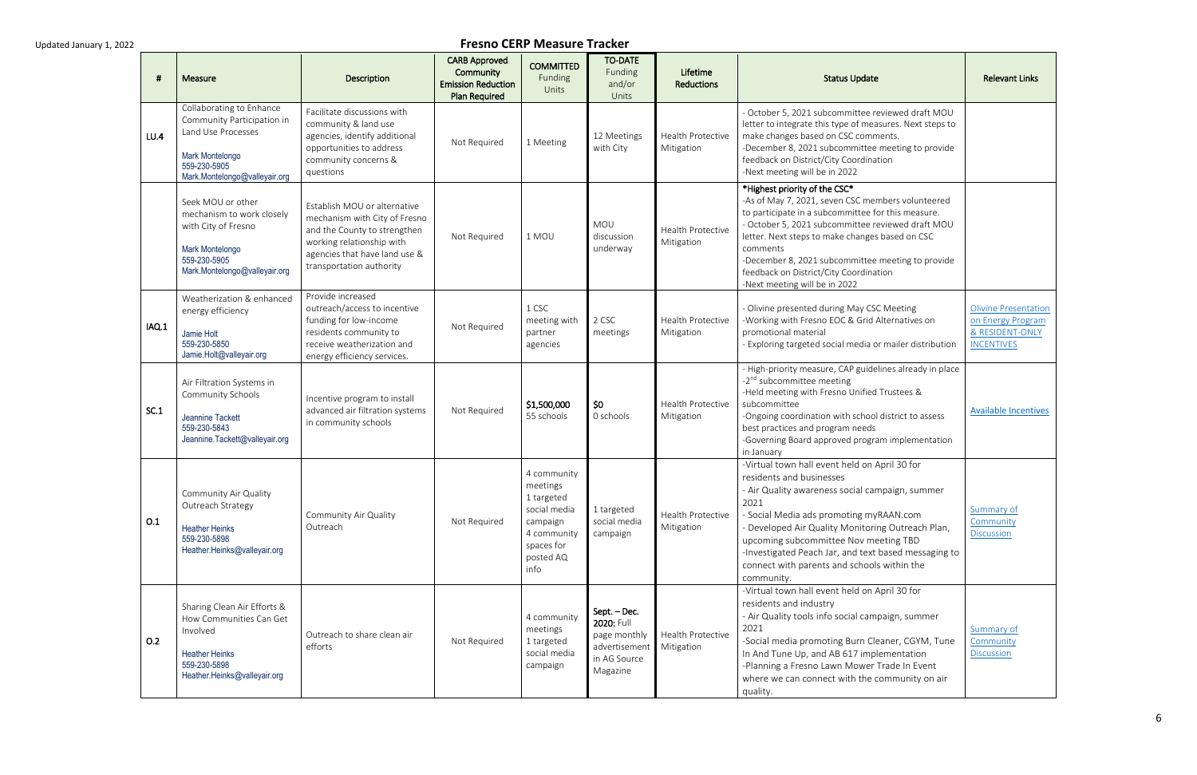|       | Measure                                                                                                                                          | Description                                                                                                                                                                             | <b>CARB Approved</b><br>Community<br><b>Emission Reduction</b><br><b>Plan Required</b> | <b>COMMITTED</b><br>Funding<br>Units                                                                                | <b>TO-DATE</b><br>Funding<br>and/or<br>Units                                            | Lifetime<br>Reductions                 | <b>Status Update</b>                                                                                                                                                                                                                                                                                                                                                                               | <b>Relevant Links</b>                                                                    |
|-------|--------------------------------------------------------------------------------------------------------------------------------------------------|-----------------------------------------------------------------------------------------------------------------------------------------------------------------------------------------|----------------------------------------------------------------------------------------|---------------------------------------------------------------------------------------------------------------------|-----------------------------------------------------------------------------------------|----------------------------------------|----------------------------------------------------------------------------------------------------------------------------------------------------------------------------------------------------------------------------------------------------------------------------------------------------------------------------------------------------------------------------------------------------|------------------------------------------------------------------------------------------|
| LU.4  | Collaborating to Enhance<br>Community Participation in<br>Land Use Processes<br>Mark Montelongo<br>559-230-5905<br>Mark.Montelongo@valleyair.org | Facilitate discussions with<br>community & land use<br>agencies, identify additional<br>opportunities to address<br>community concerns &<br>questions                                   | Not Required                                                                           | 1 Meeting                                                                                                           | 12 Meetings<br>with City                                                                | Health Protective<br>Mitigation        | - October 5, 2021 subcommittee reviewed draft MOU<br>letter to integrate this type of measures. Next steps to<br>make changes based on CSC comments.<br>-December 8, 2021 subcommittee meeting to provide<br>feedback on District/City Coordination<br>-Next meeting will be in 2022                                                                                                               |                                                                                          |
|       | Seek MOU or other<br>mechanism to work closely<br>with City of Fresno<br>Mark Montelongo<br>559-230-5905<br>Mark.Montelongo@valleyair.org        | Establish MOU or alternative<br>mechanism with City of Fresno<br>and the County to strengthen<br>working relationship with<br>agencies that have land use &<br>transportation authority | Not Required                                                                           | 1 MOU                                                                                                               | MOU<br>discussion<br>underway                                                           | <b>Health Protective</b><br>Mitigation | *Highest priority of the CSC*<br>-As of May 7, 2021, seven CSC members volunteered<br>to participate in a subcommittee for this measure.<br>- October 5, 2021 subcommittee reviewed draft MOU<br>letter. Next steps to make changes based on CSC<br>comments<br>-December 8, 2021 subcommittee meeting to provide<br>feedback on District/City Coordination<br>-Next meeting will be in 2022       |                                                                                          |
| IAQ.1 | Weatherization & enhanced<br>energy efficiency<br>Jamie Holt<br>559-230-5850<br>Jamie.Holt@valleyair.org                                         | Provide increased<br>outreach/access to incentive<br>funding for low-income<br>residents community to<br>receive weatherization and<br>energy efficiency services.                      | Not Required                                                                           | 1 CSC<br>meeting with<br>partner<br>agencies                                                                        | 2 CSC<br>meetings                                                                       | <b>Health Protective</b><br>Mitigation | - Olivine presented during May CSC Meeting<br>-Working with Fresno EOC & Grid Alternatives on<br>promotional material<br>- Exploring targeted social media or mailer distribution                                                                                                                                                                                                                  | <b>Olivine Presentation</b><br>on Energy Program<br>& RESIDENT-ONLY<br><b>INCENTIVES</b> |
| SC.1  | Air Filtration Systems in<br>Community Schools<br>Jeannine Tackett<br>559-230-5843<br>Jeannine.Tackett@valleyair.org                             | Incentive program to install<br>advanced air filtration systems<br>in community schools                                                                                                 | Not Required                                                                           | \$1,500,000<br>55 schools                                                                                           | \$0<br>0 schools                                                                        | <b>Health Protective</b><br>Mitigation | - High-priority measure, CAP guidelines already in place<br>-2 <sup>nd</sup> subcommittee meeting<br>-Held meeting with Fresno Unified Trustees &<br>subcommittee<br>-Ongoing coordination with school district to assess<br>best practices and program needs<br>-Governing Board approved program implementation<br>in January                                                                    | <b>Available Incentives</b>                                                              |
| O.1   | Community Air Quality<br>Outreach Strategy<br><b>Heather Heinks</b><br>559-230-5898<br>Heather.Heinks@valleyair.org                              | Community Air Quality<br>Outreach                                                                                                                                                       | Not Required                                                                           | 4 community<br>meetings<br>1 targeted<br>social media<br>campaign<br>4 community<br>spaces for<br>posted AQ<br>info | 1 targeted<br>social media<br>campaign                                                  | Health Protective<br>Mitigation        | -Virtual town hall event held on April 30 for<br>residents and businesses<br>- Air Quality awareness social campaign, summer<br>2021<br>- Social Media ads promoting myRAAN.com<br>- Developed Air Quality Monitoring Outreach Plan,<br>upcoming subcommittee Nov meeting TBD<br>-Investigated Peach Jar, and text based messaging to<br>connect with parents and schools within the<br>community. | Summary of<br>Community<br><b>Discussion</b>                                             |
| O.2   | Sharing Clean Air Efforts &<br>How Communities Can Get<br>Involved<br><b>Heather Heinks</b><br>559-230-5898<br>Heather.Heinks@valleyair.org      | Outreach to share clean air<br>efforts                                                                                                                                                  | Not Required                                                                           | 4 community<br>meetings<br>1 targeted<br>social media<br>campaign                                                   | Sept. – Dec.<br>2020: Full<br>page monthly<br>advertisement<br>in AG Source<br>Magazine | Health Protective<br>Mitigation        | -Virtual town hall event held on April 30 for<br>residents and industry<br>- Air Quality tools info social campaign, summer<br>2021<br>-Social media promoting Burn Cleaner, CGYM, Tune<br>In And Tune Up, and AB 617 implementation<br>-Planning a Fresno Lawn Mower Trade In Event<br>where we can connect with the community on air<br>quality.                                                 | Summary of<br>Community<br><b>Discussion</b>                                             |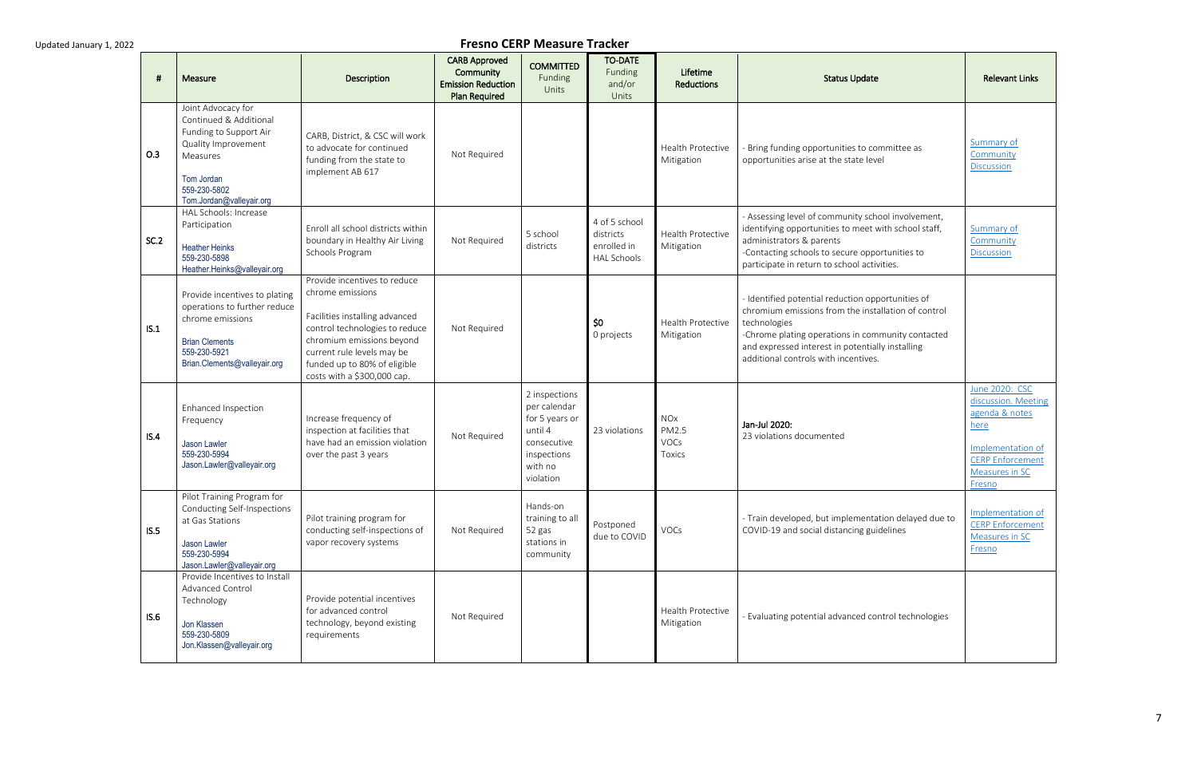| - 41 | Measure                                                                                                                                                             | Description                                                                                                                                                                                                                                    | <b>CARB Approved</b><br>Community<br><b>Emission Reduction</b><br><b>Plan Required</b> | <b>COMMITTED</b><br>Funding<br>Units                                                                             | <b>TO-DATE</b><br>Funding<br>and/or<br>Units                    | Lifetime<br><b>Reductions</b>                       | <b>Status Update</b>                                                                                                                                                                                                                                                      | <b>Relevant Links</b>                                                                                                                       |
|------|---------------------------------------------------------------------------------------------------------------------------------------------------------------------|------------------------------------------------------------------------------------------------------------------------------------------------------------------------------------------------------------------------------------------------|----------------------------------------------------------------------------------------|------------------------------------------------------------------------------------------------------------------|-----------------------------------------------------------------|-----------------------------------------------------|---------------------------------------------------------------------------------------------------------------------------------------------------------------------------------------------------------------------------------------------------------------------------|---------------------------------------------------------------------------------------------------------------------------------------------|
| O.3  | Joint Advocacy for<br>Continued & Additional<br>Funding to Support Air<br>Quality Improvement<br>Measures<br>Tom Jordan<br>559-230-5802<br>Tom.Jordan@valleyair.org | CARB, District, & CSC will work<br>to advocate for continued<br>funding from the state to<br>implement AB 617                                                                                                                                  | Not Required                                                                           |                                                                                                                  |                                                                 | Health Protective<br>Mitigation                     | Bring funding opportunities to committee as<br>opportunities arise at the state level                                                                                                                                                                                     | Summary of<br>Community<br><b>Discussion</b>                                                                                                |
| SC.2 | HAL Schools: Increase<br>Participation<br><b>Heather Heinks</b><br>559-230-5898<br>Heather.Heinks@valleyair.org                                                     | Enroll all school districts within<br>boundary in Healthy Air Living<br>Schools Program                                                                                                                                                        | Not Required                                                                           | 5 school<br>districts                                                                                            | 4 of 5 school<br>districts<br>enrolled in<br><b>HAL Schools</b> | <b>Health Protective</b><br>Mitigation              | - Assessing level of community school involvement,<br>identifying opportunities to meet with school staff,<br>administrators & parents<br>-Contacting schools to secure opportunities to<br>participate in return to school activities.                                   | Summary of<br>Community<br><b>Discussion</b>                                                                                                |
| IS.1 | Provide incentives to plating<br>operations to further reduce<br>chrome emissions<br><b>Brian Clements</b><br>559-230-5921<br>Brian.Clements@valleyair.org          | Provide incentives to reduce<br>chrome emissions<br>Facilities installing advanced<br>control technologies to reduce<br>chromium emissions beyond<br>current rule levels may be<br>funded up to 80% of eligible<br>costs with a \$300,000 cap. | Not Required                                                                           |                                                                                                                  | \$0<br>0 projects                                               | <b>Health Protective</b><br>Mitigation              | - Identified potential reduction opportunities of<br>chromium emissions from the installation of control<br>technologies<br>-Chrome plating operations in community contacted<br>and expressed interest in potentially installing<br>additional controls with incentives. |                                                                                                                                             |
| IS.4 | Enhanced Inspection<br>Frequency<br>Jason Lawler<br>559-230-5994<br>Jason.Lawler@valleyair.org                                                                      | Increase frequency of<br>inspection at facilities that<br>have had an emission violation<br>over the past 3 years                                                                                                                              | Not Required                                                                           | 2 inspections<br>per calendar<br>for 5 years or<br>until 4<br>consecutive<br>inspections<br>with no<br>violation | 23 violations                                                   | <b>NOx</b><br>PM2.5<br><b>VOCs</b><br><b>Toxics</b> | Jan-Jul 2020:<br>23 violations documented                                                                                                                                                                                                                                 | June 2020: CSC<br>discussion. Meeting<br>agenda & notes<br>here<br>Implementation of<br><b>CERP Enforcement</b><br>Measures in SC<br>Fresno |
| IS.5 | Pilot Training Program for<br>Conducting Self-Inspections<br>at Gas Stations<br>Jason Lawler<br>559-230-5994<br>Jason.Lawler@valleyair.org                          | Pilot training program for<br>conducting self-inspections of<br>vapor recovery systems                                                                                                                                                         | Not Required                                                                           | Hands-on<br>training to all<br>52 gas<br>stations in<br>community                                                | Postponed<br>due to COVID                                       | VOCs                                                | - Train developed, but implementation delayed due to<br>COVID-19 and social distancing guidelines                                                                                                                                                                         | Implementation of<br><b>CERP Enforcement</b><br>Measures in SC<br>Fresno                                                                    |
| IS.6 | Provide Incentives to Install<br>Advanced Control<br>Technology<br>Jon Klassen<br>559-230-5809<br>Jon.Klassen@valleyair.org                                         | Provide potential incentives<br>for advanced control<br>technology, beyond existing<br>requirements                                                                                                                                            | Not Required                                                                           |                                                                                                                  |                                                                 | <b>Health Protective</b><br>Mitigation              | Evaluating potential advanced control technologies                                                                                                                                                                                                                        |                                                                                                                                             |